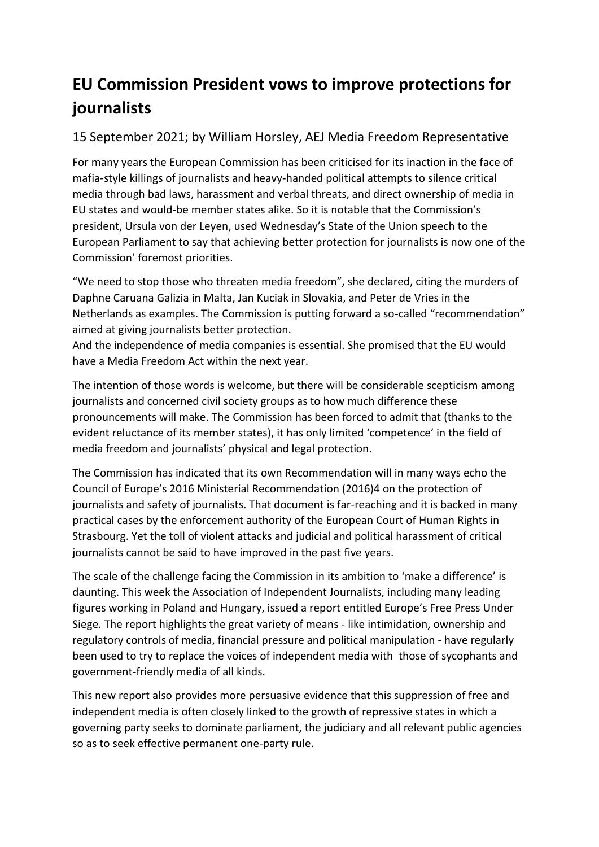## **EU Commission President vows to improve protections for journalists**

## 15 September 2021; by William Horsley, AEJ Media Freedom Representative

For many years the European Commission has been criticised for its inaction in the face of mafia-style killings of journalists and heavy-handed political attempts to silence critical media through bad laws, harassment and verbal threats, and direct ownership of media in EU states and would-be member states alike. So it is notable that the Commission's president, Ursula von der Leyen, used Wednesday's State of the Union speech to the European Parliament to say that achieving better protection for journalists is now one of the Commission' foremost priorities.

"We need to stop those who threaten media freedom", she declared, citing the murders of Daphne Caruana Galizia in Malta, Jan Kuciak in Slovakia, and Peter de Vries in the Netherlands as examples. The Commission is putting forward a so-called "recommendation" aimed at giving journalists better protection.

And the independence of media companies is essential. She promised that the EU would have a Media Freedom Act within the next year.

The intention of those words is welcome, but there will be considerable scepticism among journalists and concerned civil society groups as to how much difference these pronouncements will make. The Commission has been forced to admit that (thanks to the evident reluctance of its member states), it has only limited 'competence' in the field of media freedom and journalists' physical and legal protection.

The Commission has indicated that its own Recommendation will in many ways echo the Council of Europe's 2016 Ministerial Recommendation (2016)4 on the protection of journalists and safety of journalists. That document is far-reaching and it is backed in many practical cases by the enforcement authority of the European Court of Human Rights in Strasbourg. Yet the toll of violent attacks and judicial and political harassment of critical journalists cannot be said to have improved in the past five years.

The scale of the challenge facing the Commission in its ambition to 'make a difference' is daunting. This week the Association of Independent Journalists, including many leading figures working in Poland and Hungary, issued a report entitled Europe's Free Press Under Siege. The report highlights the great variety of means - like intimidation, ownership and regulatory controls of media, financial pressure and political manipulation - have regularly been used to try to replace the voices of independent media with those of sycophants and government-friendly media of all kinds.

This new report also provides more persuasive evidence that this suppression of free and independent media is often closely linked to the growth of repressive states in which a governing party seeks to dominate parliament, the judiciary and all relevant public agencies so as to seek effective permanent one-party rule.